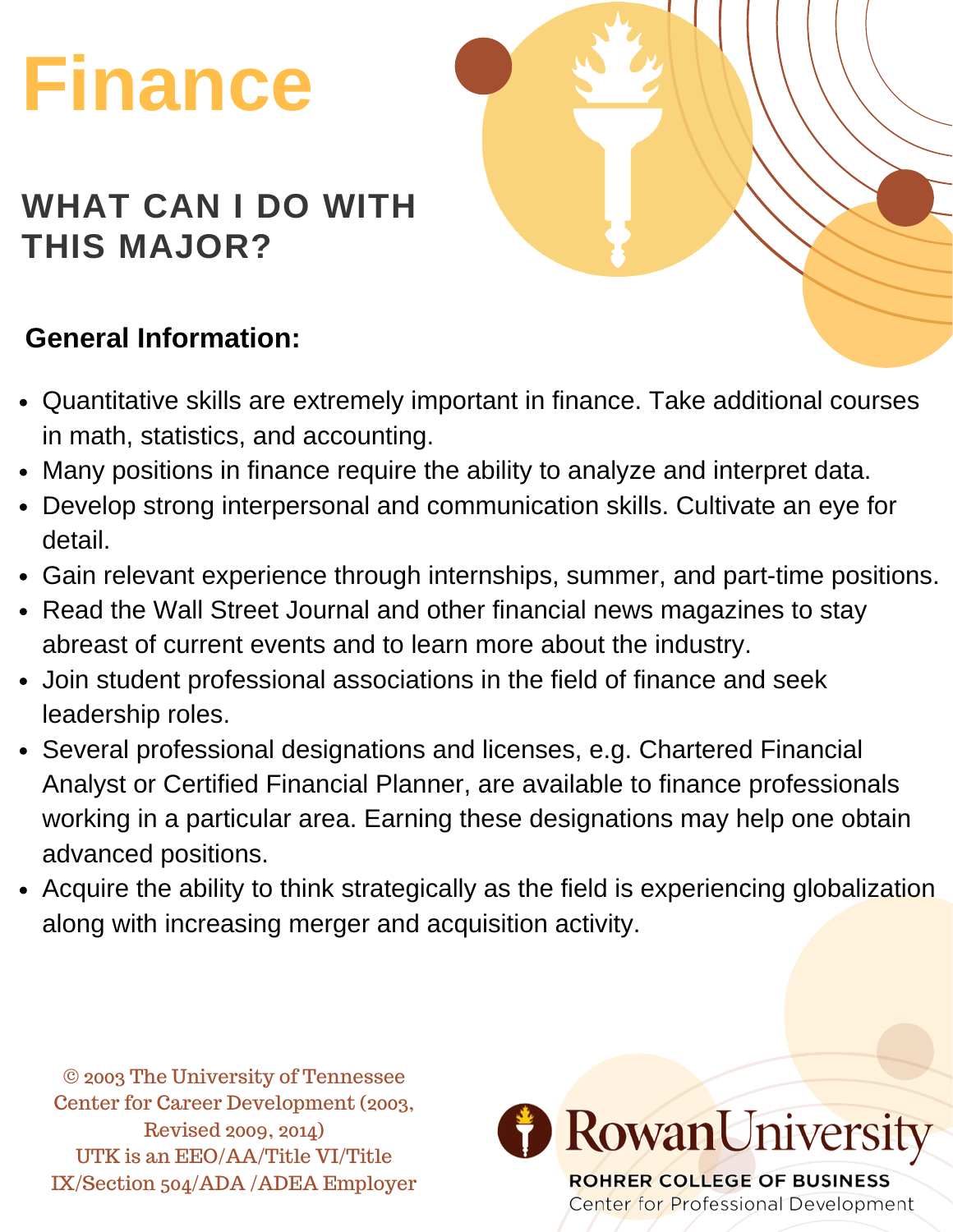# **Finance**

#### **WHAT CAN I DO WITH THIS MAJOR?**

#### **General Information:**

- Quantitative skills are extremely important in finance. Take additional courses in math, statistics, and accounting.
- Many positions in finance require the ability to analyze and interpret data.
- Develop strong interpersonal and communication skills. Cultivate an eye for detail.
- Gain relevant experience through internships, summer, and part-time positions.
- Read the Wall Street Journal and other financial news magazines to stay abreast of current events and to learn more about the industry.
- Join student professional associations in the field of finance and seek leadership roles.
- Several professional designations and licenses, e.g. Chartered Financial Analyst or Certified Financial Planner, are available to finance professionals working in a particular area. Earning these designations may help one obtain advanced positions.
- Acquire the ability to think strategically as the field is experiencing globalization along with increasing merger and acquisition activity.

© 2003 The University of Tennessee Center for Career Development (2003, Revised 2009, 2014) UTK is an EEO/AA/Title VI/Title IX/Section 504/ADA /ADEA Employer

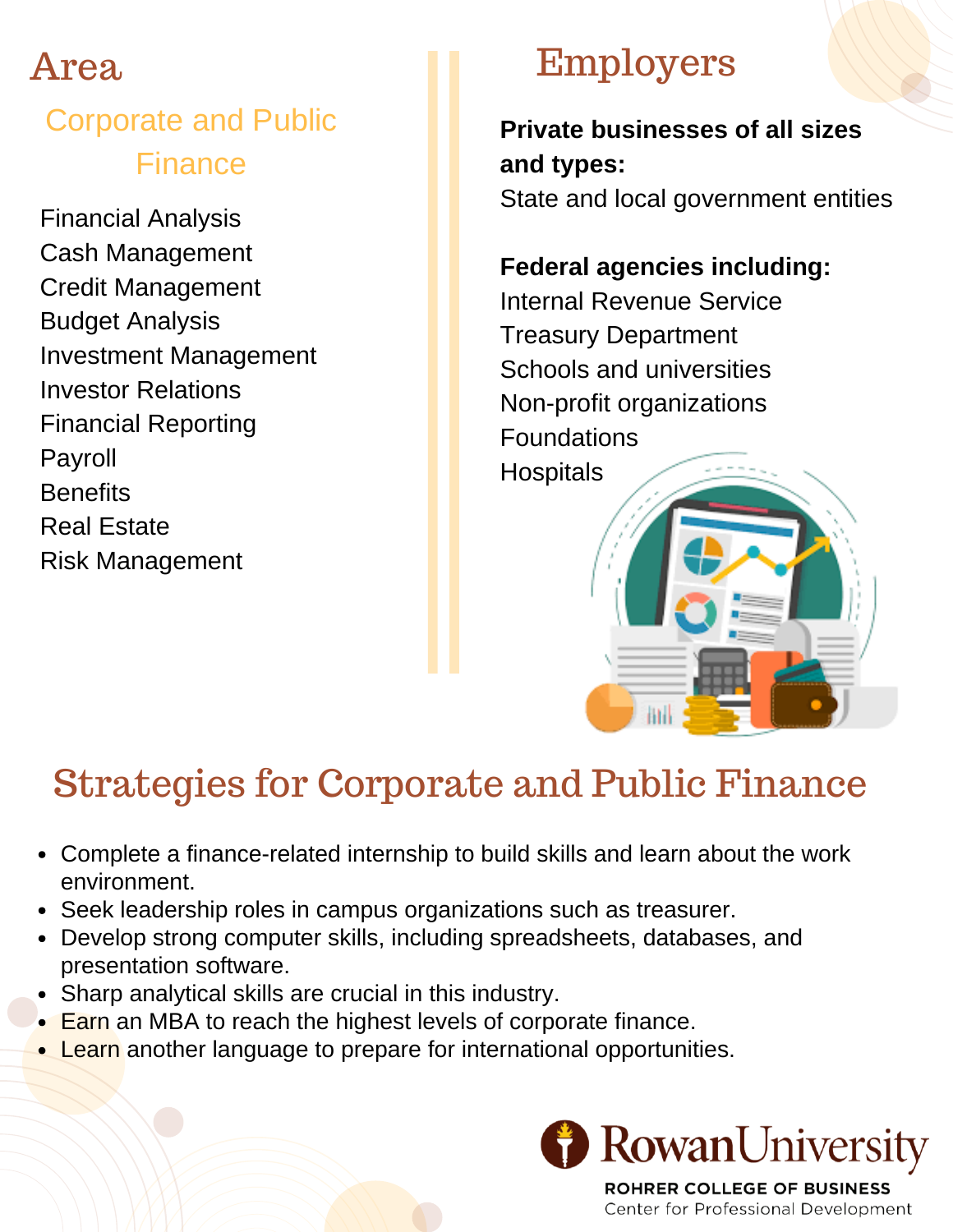#### Corporate and Public Finance

Financial Analysis Cash Management Credit Management Budget Analysis Investment Management Investor Relations Financial Reporting Payroll **Benefits** Real Estate Risk Management

## Employers

**Private businesses of all sizes and types:**

State and local government entities

#### **Federal agencies including:**

Internal Revenue Service Treasury Department Schools and universities Non-profit organizations Foundations **Hospitals** 

## Strategies for Corporate and Public Finance

- Complete a finance-related internship to build skills and learn about the work environment.
- Seek leadership roles in campus organizations such as treasurer.
- Develop strong computer skills, including spreadsheets, databases, and presentation software.
- Sharp analytical skills are crucial in this industry.
- Earn an MBA to reach the highest levels of corporate finance.
- Learn another language to prepare for international opportunities.



**ROHRER COLLEGE OF BUSINESS** Center for Professional Development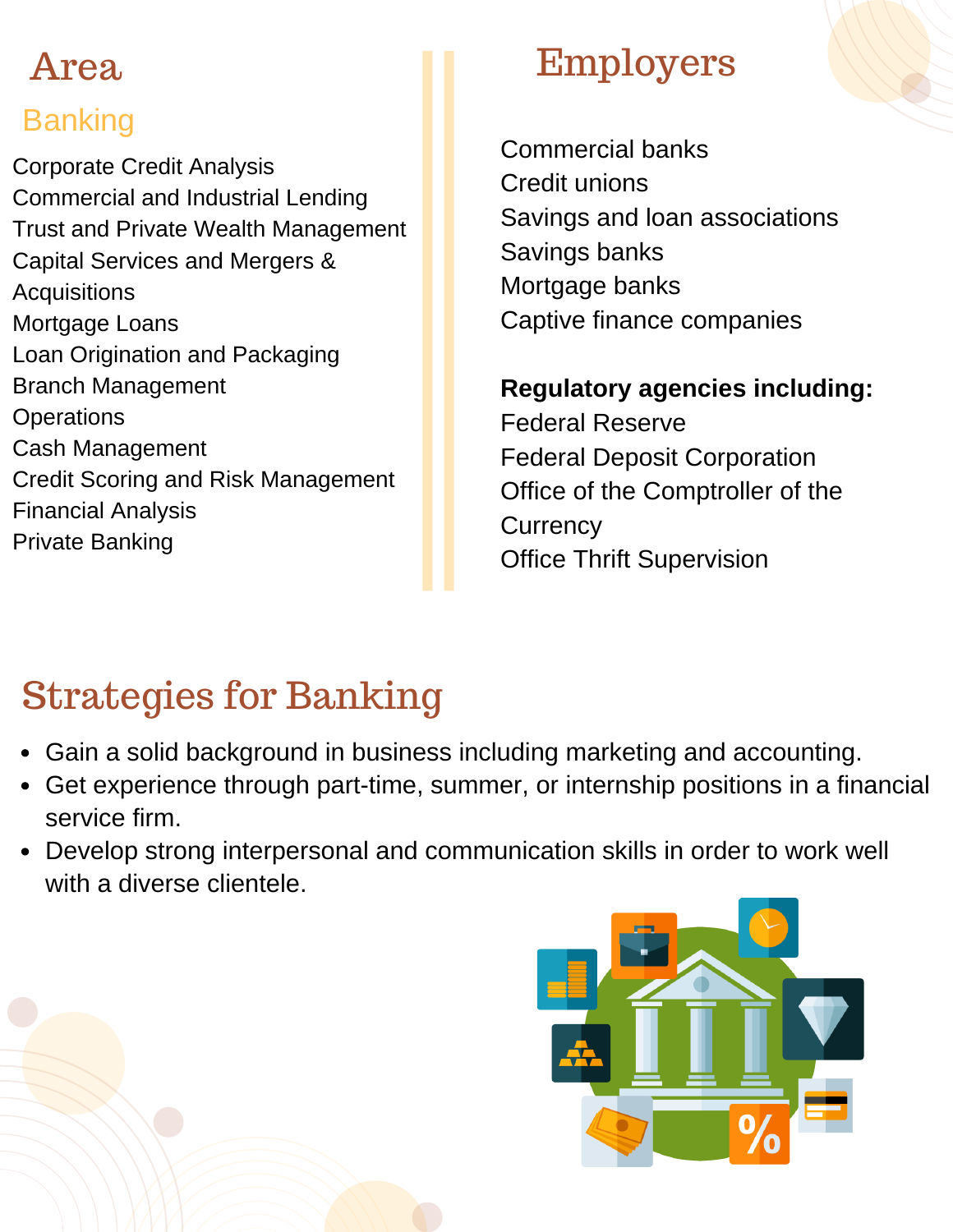#### Banking

Corporate Credit Analysis Commercial and Industrial Lending Trust and Private Wealth Management Capital Services and Mergers & **Acquisitions** Mortgage Loans Loan Origination and Packaging Branch Management **Operations** Cash Management Credit Scoring and Risk Management Financial Analysis Private Banking

### Employers

Commercial banks Credit unions Savings and loan associations Savings banks Mortgage banks Captive finance companies

#### **Regulatory agencies including:**

Federal Reserve Federal Deposit Corporation Office of the Comptroller of the **Currency** Office Thrift Supervision

## Strategies for Banking

- Gain a solid background in business including marketing and accounting.
- Get experience through part-time, summer, or internship positions in a financial service firm.
- Develop strong interpersonal and communication skills in order to work well with a diverse clientele.

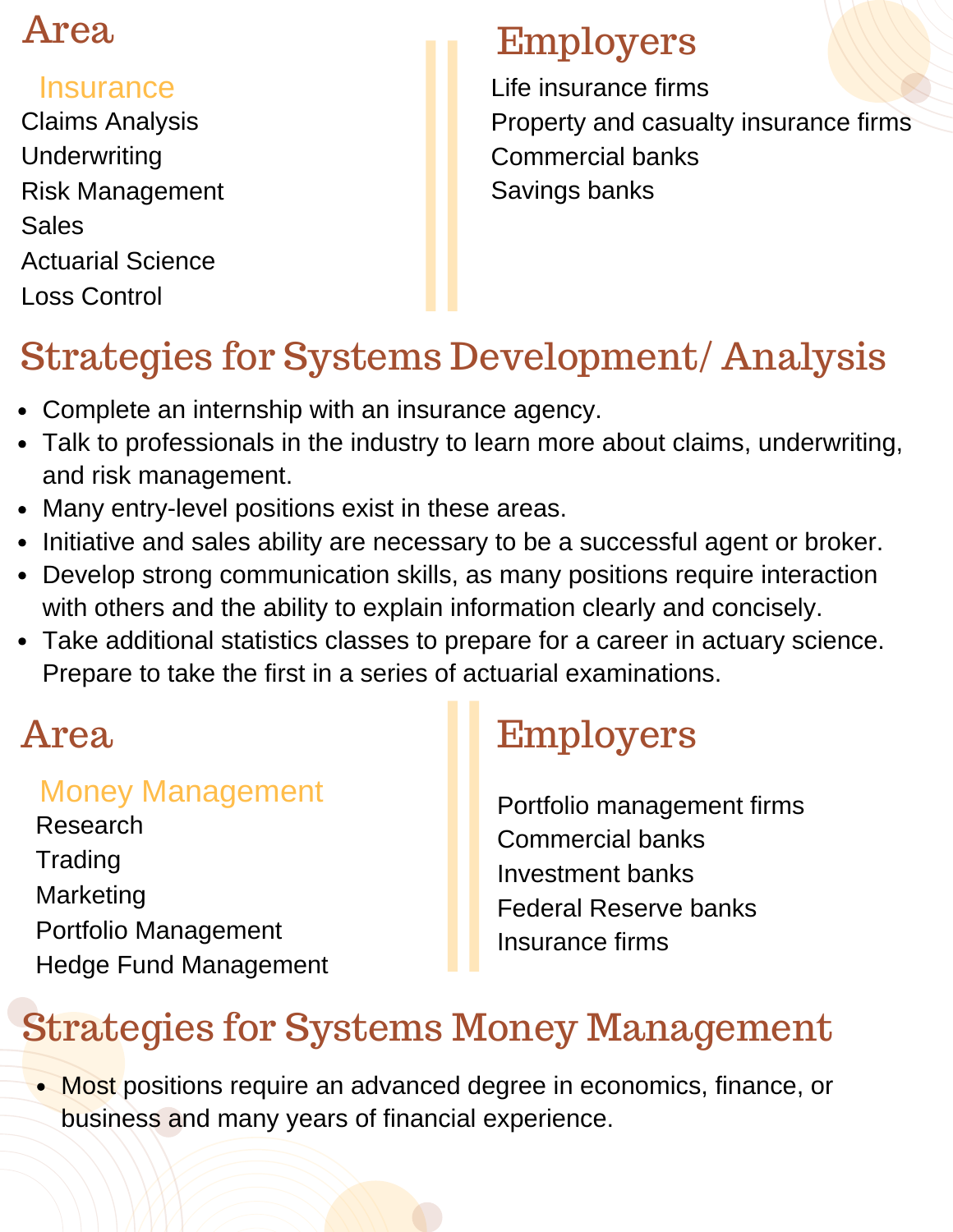#### **Insurance**

Claims Analysis **Underwriting** Risk Management **Sales** Actuarial Science Loss Control

#### Employers

Life insurance firms Property and casualty insurance firms Commercial banks Savings banks

## Strategies for Systems Development/ Analysis

- Complete an internship with an insurance agency.
- Talk to professionals in the industry to learn more about claims, underwriting, and risk management.
- Many entry-level positions exist in these areas.
- Initiative and sales ability are necessary to be a successful agent or broker.
- Develop strong communication skills, as many positions require interaction with others and the ability to explain information clearly and concisely.
- Take additional statistics classes to prepare for a career in actuary science. Prepare to take the first in a series of actuarial examinations.

#### Money Management

Research **Trading** Marketing Portfolio Management Hedge Fund Management

## Area Employers

Portfolio management firms Commercial banks Investment banks Federal Reserve banks Insurance firms

## Strategies for Systems Money Management

• Most positions require an advanced degree in economics, finance, or business and many years of financial experience.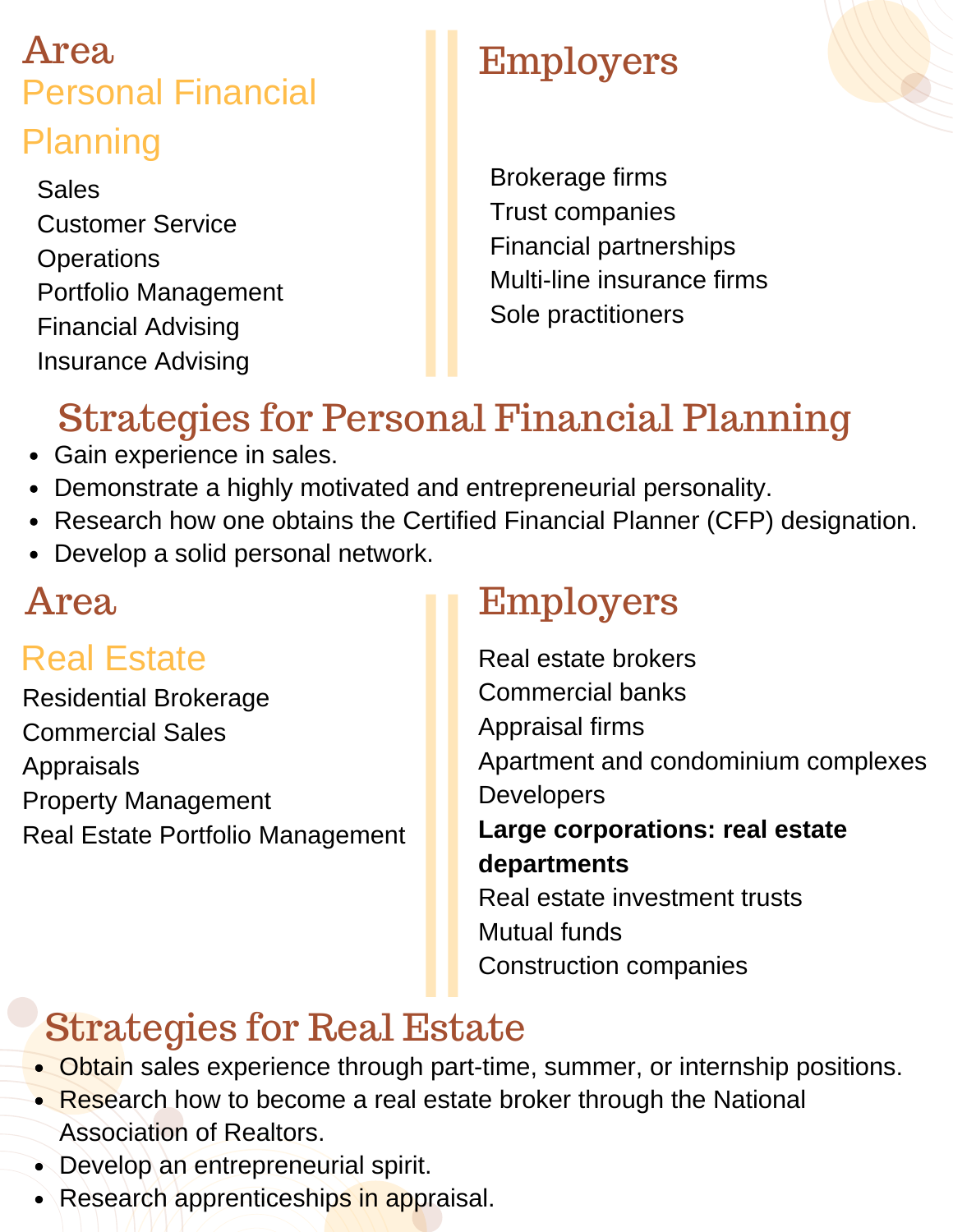### Area Personal Financial Planning

Sales Customer Service **Operations** Portfolio Management Financial Advising Insurance Advising

## Employers

Brokerage firms Trust companies Financial partnerships Multi-line insurance firms Sole practitioners

## Strategies for Personal Financial Planning

- Gain experience in sales.
- Demonstrate a highly motivated and entrepreneurial personality.
- Research how one obtains the Certified Financial Planner (CFP) designation.
- Develop a solid personal network.

#### Real Estate

Residential Brokerage Commercial Sales Appraisals Property Management Real Estate Portfolio Management

### Area Employers

Real estate brokers Commercial banks Appraisal firms Apartment and condominium complexes Developers **Large corporations: real estate departments** Real estate investment trusts Mutual funds Construction companies

## Strategies for Real Estate

- Obtain sales experience through part-time, summer, or internship positions.
- Research how to become a real estate broker through the National Association of Realtors.
- Develop an entrepreneurial spirit.
- Research apprenticeships in appraisal.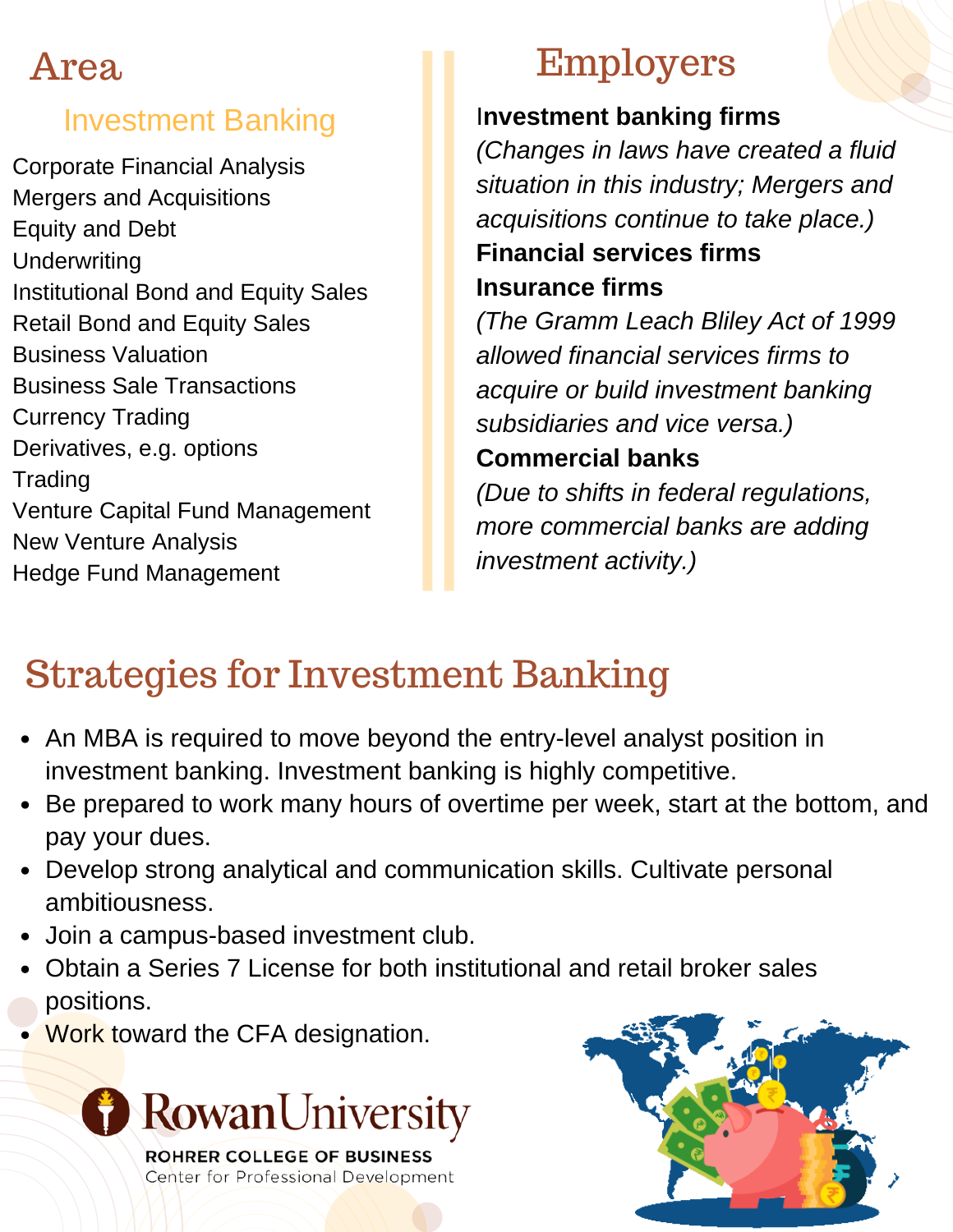#### Investment Banking

Corporate Financial Analysis Mergers and Acquisitions Equity and Debt **Underwriting** Institutional Bond and Equity Sales Retail Bond and Equity Sales Business Valuation Business Sale Transactions Currency Trading Derivatives, e.g. options **Trading** Venture Capital Fund Management New Venture Analysis Hedge Fund Management

### Employers

#### I**nvestment banking firms**

*(Changes in laws have created a fluid situation in this industry; Mergers and acquisitions continue to take place.)*

#### **Financial services firms Insurance firms**

*(The Gramm Leach Bliley Act of 1999 allowed financial services firms to acquire or build investment banking subsidiaries and vice versa.)*

#### **Commercial banks**

*(Due to shifts in federal regulations, more commercial banks are adding investment activity.)*

## Strategies for Investment Banking

- An MBA is required to move beyond the entry-level analyst position in investment banking. Investment banking is highly competitive.
- Be prepared to work many hours of overtime per week, start at the bottom, and pay your dues.
- Develop strong analytical and communication skills. Cultivate personal ambitiousness.
- Join a campus-based investment club.
- Obtain a Series 7 License for both institutional and retail broker sales positions.
- Work toward the CFA designation.



Center for Professional Development